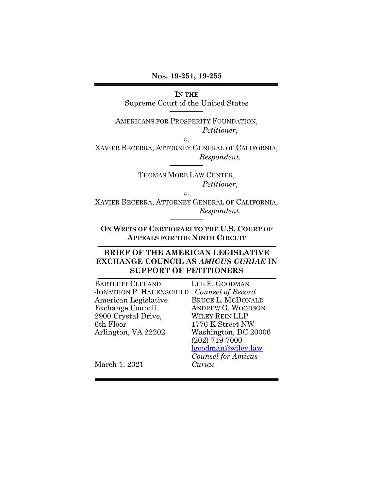**Nos. 19-251, 19-255** 

#### **IN THE**

Supreme Court of the United States

AMERICANS FOR PROSPERITY FOUNDATION, *Petitioner*,

*v.*

XAVIER BECERRA, ATTORNEY GENERAL OF CALIFORNIA, *Respondent.*

> THOMAS MORE LAW CENTER, *Petitioner*,

> > *v.*

XAVIER BECERRA, ATTORNEY GENERAL OF CALIFORNIA, *Respondent.*

**ON WRITS OF CERTIORARI TO THE U.S. COURT OF APPEALS FOR THE NINTH CIRCUIT**

### **BRIEF OF THE AMERICAN LEGISLATIVE EXCHANGE COUNCIL AS** *AMICUS CURIAE* **IN SUPPORT OF PETITIONERS**

| <b>BARTLETT CLELAND</b> | LEE E. GOODMAN           |
|-------------------------|--------------------------|
| JONATHON P. HAUENSCHILD | Counsel of Record        |
| American Legislative    | <b>BRUCE L. MCDONALD</b> |
| Exchange Council        | <b>ANDREW G. WOODSON</b> |
| 2900 Crystal Drive,     | <b>WILEY REIN LLP</b>    |
| 6th Floor               | 1776 K Street NW         |
| Arlington, VA 22202     | Washington, DC 20006     |
|                         | $(202)$ 719-7000         |
|                         | lgoodman@wiley.law       |

March 1, 2021

*Counsel for Amicus Curiae*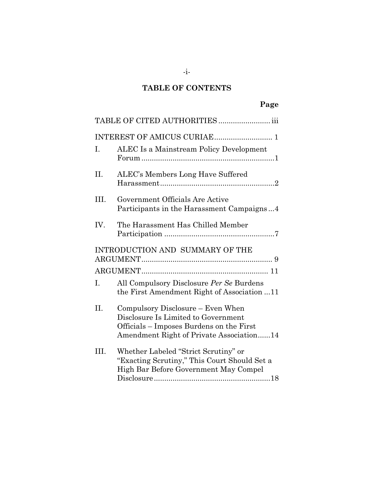# **TABLE OF CONTENTS**

|                | TABLE OF CITED AUTHORITIES  iii                                                                                                                                  |
|----------------|------------------------------------------------------------------------------------------------------------------------------------------------------------------|
|                |                                                                                                                                                                  |
| $\mathbf{I}$ . | ALEC Is a Mainstream Policy Development                                                                                                                          |
| II.            | ALEC's Members Long Have Suffered                                                                                                                                |
| III.           | Government Officials Are Active<br>Participants in the Harassment Campaigns4                                                                                     |
| IV.            | The Harassment Has Chilled Member                                                                                                                                |
|                | INTRODUCTION AND SUMMARY OF THE                                                                                                                                  |
|                |                                                                                                                                                                  |
| L.             | All Compulsory Disclosure Per Se Burdens<br>the First Amendment Right of Association 11                                                                          |
| II.            | Compulsory Disclosure – Even When<br>Disclosure Is Limited to Government<br>Officials – Imposes Burdens on the First<br>Amendment Right of Private Association14 |
| III.           | Whether Labeled "Strict Scrutiny" or<br>"Exacting Scrutiny," This Court Should Set a<br>High Bar Before Government May Compel                                    |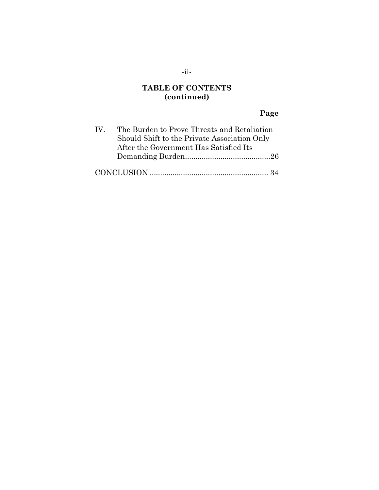## **TABLE OF CONTENTS (continued)**

## **Page**

| $\mathbf{IV}$ | The Burden to Prove Threats and Retaliation  |  |
|---------------|----------------------------------------------|--|
|               | Should Shift to the Private Association Only |  |
|               | After the Government Has Satisfied Its       |  |
|               |                                              |  |
|               |                                              |  |
|               |                                              |  |

### -ii-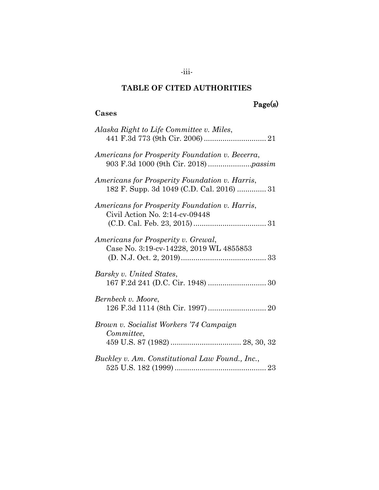#### **TABLE OF CITED AUTHORITIES**

**Cases**

## Page(s)

# *Alaska Right to Life Committee v. Miles*, 441 F.3d 773 (9th Cir. 2006).............................. 21 *Americans for Prosperity Foundation v. Becerra*, 903 F.3d 1000 (9th Cir. 2018).....................*passim Americans for Prosperity Foundation v. Harris*, 182 F. Supp. 3d 1049 (C.D. Cal. 2016) .............. 31 *Americans for Prosperity Foundation v. Harris*, Civil Action No. 2:14-cv-09448 (C.D. Cal. Feb. 23, 2015)................................... 31 *Americans for Prosperity v. Grewal*, Case No. 3:19-cv-14228, 2019 WL 4855853 (D. N.J. Oct. 2, 2019)......................................... 33 *Barsky v. United States*, 167 F.2d 241 (D.C. Cir. 1948) ............................ 30 *Bernbeck v. Moore*, 126 F.3d 1114 (8th Cir. 1997)............................ 20 *Brown v. Socialist Workers '74 Campaign Committee*, 459 U.S. 87 (1982) .................................. 28, 30, 32 *Buckley v. Am. Constitutional Law Found., Inc.*, 525 U.S. 182 (1999) ............................................ 23

-iii-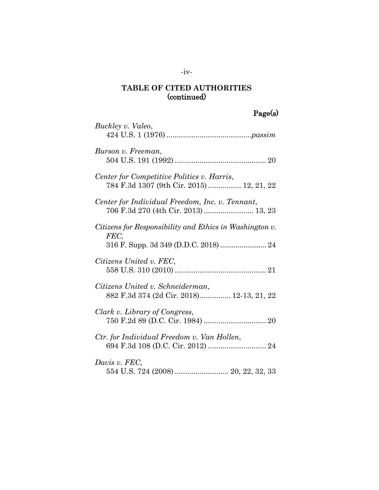# Page(s)

| Buckley v. Valeo,                                                                       |
|-----------------------------------------------------------------------------------------|
| Burson v. Freeman,                                                                      |
| Center for Competitive Politics v. Harris,<br>784 F.3d 1307 (9th Cir. 2015)  12, 21, 22 |
| Center for Individual Freedom, Inc. v. Tennant,<br>706 F.3d 270 (4th Cir. 2013)  13, 23 |
| Citizens for Responsibility and Ethics in Washington v.<br>FEC,                         |
| Citizens United v. FEC,                                                                 |
| Citizens United v. Schneiderman,<br>882 F.3d 374 (2d Cir. 2018) 12-13, 21, 22           |
| Clark v. Library of Congress,                                                           |
| Ctr. for Individual Freedom v. Van Hollen,                                              |
| Davis v. FEC,<br>554 U.S. 724 (2008)  20, 22, 32, 33                                    |

### -iv-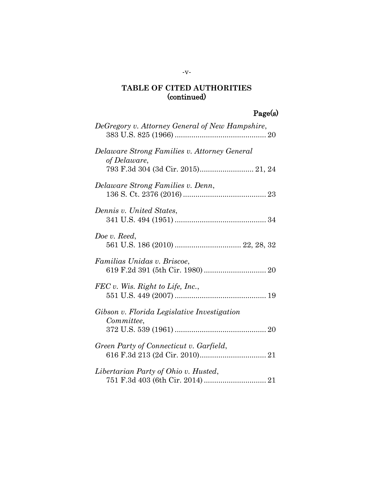# Page(s)

| DeGregory v. Attorney General of New Hampshire,              |  |
|--------------------------------------------------------------|--|
| Delaware Strong Families v. Attorney General<br>of Delaware, |  |
|                                                              |  |
| Delaware Strong Families v. Denn,                            |  |
| Dennis v. United States,                                     |  |
| Doe v. Reed,                                                 |  |
| Familias Unidas v. Briscoe,                                  |  |
| FEC v. Wis. Right to Life, Inc.,                             |  |
| Gibson v. Florida Legislative Investigation<br>Committee,    |  |
|                                                              |  |
| Green Party of Connecticut v. Garfield,                      |  |
|                                                              |  |
| Libertarian Party of Ohio v. Husted,                         |  |
|                                                              |  |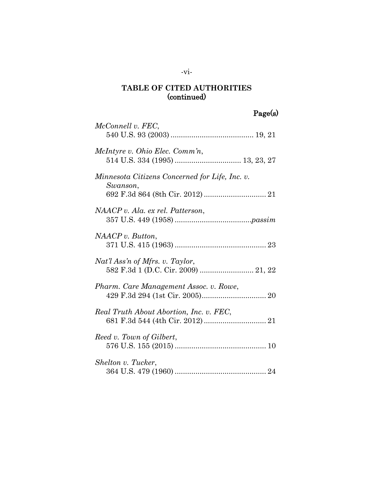# Page(s)

| McConnell v. FEC,                                                      |
|------------------------------------------------------------------------|
| McIntyre v. Ohio Elec. Comm'n,                                         |
| Minnesota Citizens Concerned for Life, Inc. v.<br>Swanson,             |
| NAACP v. Ala. ex rel. Patterson,                                       |
| NAACP v. But ton,                                                      |
| Nat'l Ass'n of Mfrs. v. Taylor,<br>582 F.3d 1 (D.C. Cir. 2009)  21, 22 |
| Pharm. Care Management Assoc. v. Rowe,                                 |
| Real Truth About Abortion, Inc. v. FEC,                                |
| Reed v. Town of Gilbert,                                               |
| Shelton v. Tucker,                                                     |

### -vi-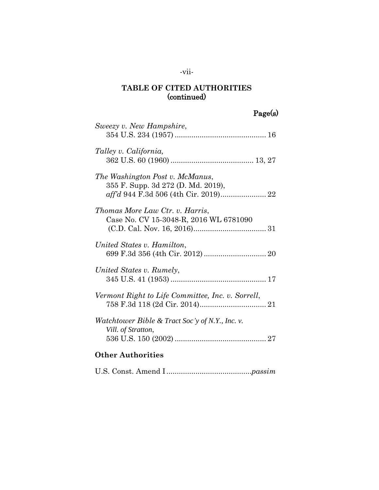# -vii-

## **TABLE OF CITED AUTHORITIES** (continued)

# Page(s)

| Sweezy v. New Hampshire,                                                                                       |
|----------------------------------------------------------------------------------------------------------------|
| Talley v. California,                                                                                          |
| The Washington Post v. McManus,<br>355 F. Supp. 3d 272 (D. Md. 2019),<br>aff'd 944 F.3d 506 (4th Cir. 2019) 22 |
| Thomas More Law Ctr. v. Harris,<br>Case No. CV 15-3048-R, 2016 WL 6781090                                      |
| United States v. Hamilton,                                                                                     |
| United States v. Rumely,                                                                                       |
| Vermont Right to Life Committee, Inc. v. Sorrell,                                                              |
| Watchtower Bible & Tract Soc'y of N.Y., Inc. v.<br>Vill. of Stratton,                                          |
| <b>Other Authorities</b>                                                                                       |
|                                                                                                                |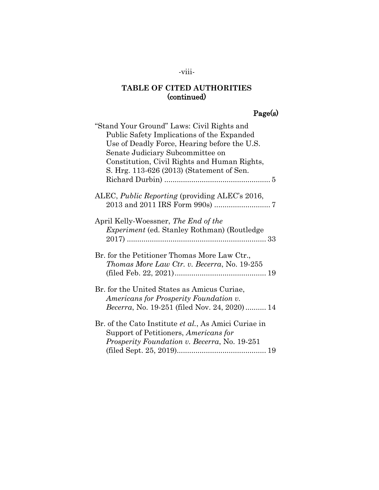## -viii-

## **TABLE OF CITED AUTHORITIES** (continued)

# Page(s)

| "Stand Your Ground" Laws: Civil Rights and<br>Public Safety Implications of the Expanded<br>Use of Deadly Force, Hearing before the U.S.<br>Senate Judiciary Subcommittee on |
|------------------------------------------------------------------------------------------------------------------------------------------------------------------------------|
| Constitution, Civil Rights and Human Rights,<br>S. Hrg. 113-626 (2013) (Statement of Sen.                                                                                    |
| ALEC, Public Reporting (providing ALEC's 2016,                                                                                                                               |
| April Kelly-Woessner, The End of the<br><i>Experiment</i> (ed. Stanley Rothman) (Routledge                                                                                   |
| Br. for the Petitioner Thomas More Law Ctr.,<br>Thomas More Law Ctr. v. Becerra, No. 19-255                                                                                  |
| Br. for the United States as Amicus Curiae,<br>Americans for Prosperity Foundation v.<br><i>Becerra</i> , No. 19-251 (filed Nov. 24, 2020) 14                                |
| Br. of the Cato Institute et al., As Amici Curiae in<br>Support of Petitioners, Americans for<br><i>Prosperity Foundation v. Becerra, No.</i> 19-251                         |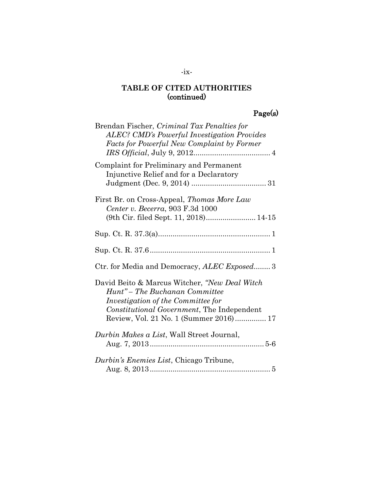# Page(s)

| Brendan Fischer, Criminal Tax Penalties for<br><b>ALEC?</b> CMD's Powerful Investigation Provides<br><b>Facts for Powerful New Complaint by Former</b>                                                        |
|---------------------------------------------------------------------------------------------------------------------------------------------------------------------------------------------------------------|
| Complaint for Preliminary and Permanent<br>Injunctive Relief and for a Declaratory                                                                                                                            |
| First Br. on Cross-Appeal, <i>Thomas More Law</i><br>Center v. Becerra, 903 F.3d 1000                                                                                                                         |
|                                                                                                                                                                                                               |
|                                                                                                                                                                                                               |
| Ctr. for Media and Democracy, ALEC Exposed 3                                                                                                                                                                  |
| David Beito & Marcus Witcher, "New Deal Witch<br>Hunt" – The Buchanan Committee<br>Investigation of the Committee for<br>Constitutional Government, The Independent<br>Review, Vol. 21 No. 1 (Summer 2016) 17 |
| Durbin Makes a List, Wall Street Journal,                                                                                                                                                                     |
| Durbin's Enemies List, Chicago Tribune,                                                                                                                                                                       |

### -ix-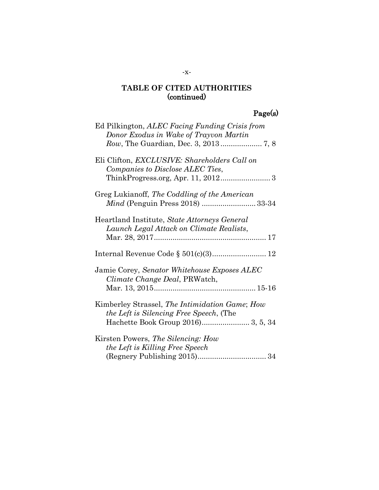# Page(s)

| Ed Pilkington, ALEC Facing Funding Crisis from<br>Donor Exodus in Wake of Trayvon Martin         |
|--------------------------------------------------------------------------------------------------|
| Eli Clifton, <i>EXCLUSIVE</i> : <i>Shareholders</i> Call on<br>Companies to Disclose ALEC Ties,  |
| Greg Lukianoff, The Coddling of the American                                                     |
| Heartland Institute, State Attorneys General<br>Launch Legal Attack on Climate Realists,         |
|                                                                                                  |
| Jamie Corey, Senator Whitehouse Exposes ALEC<br>Climate Change Deal, PRWatch,                    |
| Kimberley Strassel, The Intimidation Game; How<br><i>the Left is Silencing Free Speech,</i> (The |
| Kirsten Powers, The Silencing: How<br>the Left is Killing Free Speech                            |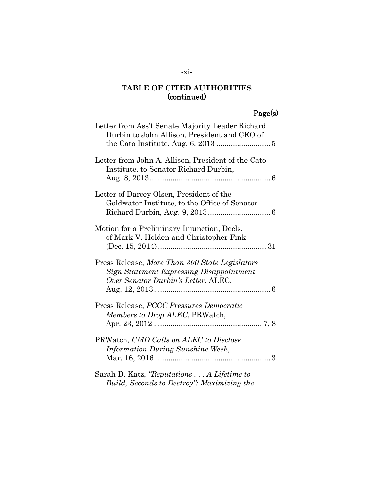# Page(s)

| Letter from Ass't Senate Majority Leader Richard<br>Durbin to John Allison, President and CEO of                                         |
|------------------------------------------------------------------------------------------------------------------------------------------|
| Letter from John A. Allison, President of the Cato<br>Institute, to Senator Richard Durbin,                                              |
| Letter of Darcey Olsen, President of the<br>Goldwater Institute, to the Office of Senator                                                |
| Motion for a Preliminary Injunction, Decls.<br>of Mark V. Holden and Christopher Fink                                                    |
| Press Release, More Than 300 State Legislators<br><b>Sign Statement Expressing Disappointment</b><br>Over Senator Durbin's Letter, ALEC, |
| Press Release, PCCC Pressures Democratic<br>Members to Drop ALEC, PRWatch,                                                               |
| PRWatch, CMD Calls on ALEC to Disclose<br><b>Information During Sunshine Week,</b>                                                       |
| Sarah D. Katz, "Reputations  A Lifetime to<br>Build, Seconds to Destroy": Maximizing the                                                 |

### -xi-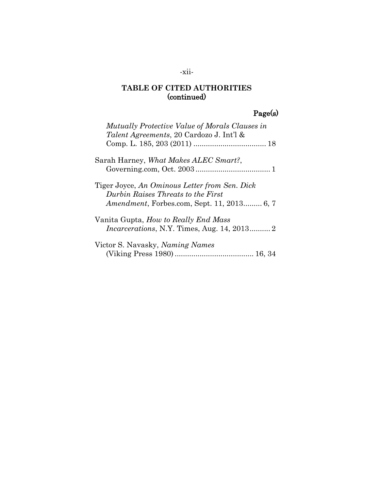## -xii-

## **TABLE OF CITED AUTHORITIES** (continued)

# Page(s)

| Mutually Protective Value of Morals Clauses in<br>Talent Agreements, 20 Cardozo J. Int'l &                                                |
|-------------------------------------------------------------------------------------------------------------------------------------------|
| Sarah Harney, What Makes ALEC Smart?,                                                                                                     |
| Tiger Joyce, An Ominous Letter from Sen. Dick<br>Durbin Raises Threats to the First<br><i>Amendment</i> , Forbes.com, Sept. 11, 2013 6, 7 |
| Vanita Gupta, <i>How to Really End Mass</i><br><i>Incarcerations, N.Y. Times, Aug. 14, 2013 2</i>                                         |
| Victor S. Navasky, <i>Naming Names</i>                                                                                                    |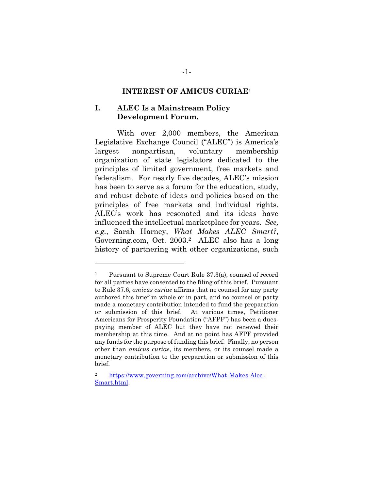#### **INTEREST OF AMICUS CURIAE**<sup>1</sup>

#### **I. ALEC Is a Mainstream Policy Development Forum.**

With over 2,000 members, the American Legislative Exchange Council ("ALEC") is America's largest nonpartisan, voluntary membership organization of state legislators dedicated to the principles of limited government, free markets and federalism. For nearly five decades, ALEC's mission has been to serve as a forum for the education, study, and robust debate of ideas and policies based on the principles of free markets and individual rights. ALEC's work has resonated and its ideas have influenced the intellectual marketplace for years. *See, e.g.*, Sarah Harney, *What Makes ALEC Smart?*, Governing.com, Oct. 2003.2 ALEC also has a long history of partnering with other organizations, such

<sup>1</sup> Pursuant to Supreme Court Rule 37.3(a), counsel of record for all parties have consented to the filing of this brief. Pursuant to Rule 37.6, *amicus curiae* affirms that no counsel for any party authored this brief in whole or in part, and no counsel or party made a monetary contribution intended to fund the preparation or submission of this brief. At various times, Petitioner Americans for Prosperity Foundation ("AFPF") has been a duespaying member of ALEC but they have not renewed their membership at this time. And at no point has AFPF provided any funds for the purpose of funding this brief. Finally, no person other than *amicus curiae*, its members, or its counsel made a monetary contribution to the preparation or submission of this brief.

<sup>2</sup> [https://www.governing.com/archive/What-Makes-Alec-](https://www.governing.com/archive/What-Makes-Alec-Smart.html)[Smart.html.](https://www.governing.com/archive/What-Makes-Alec-Smart.html)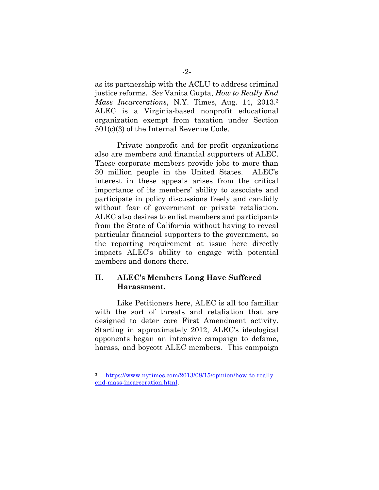as its partnership with the ACLU to address criminal justice reforms. *See* Vanita Gupta, *How to Really End Mass Incarcerations*, N.Y. Times, Aug. 14, 2013.<sup>3</sup> ALEC is a Virginia-based nonprofit educational organization exempt from taxation under Section 501(c)(3) of the Internal Revenue Code.

Private nonprofit and for-profit organizations also are members and financial supporters of ALEC. These corporate members provide jobs to more than 30 million people in the United States. ALEC's interest in these appeals arises from the critical importance of its members' ability to associate and participate in policy discussions freely and candidly without fear of government or private retaliation. ALEC also desires to enlist members and participants from the State of California without having to reveal particular financial supporters to the government, so the reporting requirement at issue here directly impacts ALEC's ability to engage with potential members and donors there.

### **II. ALEC's Members Long Have Suffered Harassment.**

Like Petitioners here, ALEC is all too familiar with the sort of threats and retaliation that are designed to deter core First Amendment activity. Starting in approximately 2012, ALEC's ideological opponents began an intensive campaign to defame, harass, and boycott ALEC members. This campaign

<sup>3</sup> [https://www.nytimes.com/2013/08/15/opinion/how-to-really](https://www.nytimes.com/2013/08/15/opinion/how-to-really-end-mass-incarceration.html)[end-mass-incarceration.html.](https://www.nytimes.com/2013/08/15/opinion/how-to-really-end-mass-incarceration.html)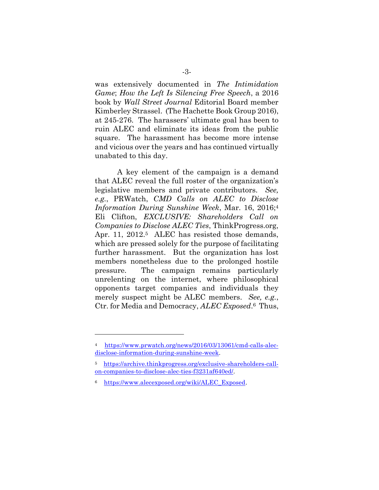was extensively documented in *The Intimidation Game*; *How the Left Is Silencing Free Speech*, a 2016 book by *Wall Street Journal* Editorial Board member Kimberley Strassel. (The Hachette Book Group 2016), at 245-276. The harassers' ultimate goal has been to ruin ALEC and eliminate its ideas from the public square. The harassment has become more intense and vicious over the years and has continued virtually unabated to this day.

A key element of the campaign is a demand that ALEC reveal the full roster of the organization's legislative members and private contributors. *See, e.g.*, PRWatch, *CMD Calls on ALEC to Disclose Information During Sunshine Week*, Mar. 16, 2016;<sup>4</sup> Eli Clifton, *EXCLUSIVE: Shareholders Call on Companies to Disclose ALEC Ties*, ThinkProgress.org, Apr. 11, 2012.<sup>5</sup> ALEC has resisted those demands, which are pressed solely for the purpose of facilitating further harassment. But the organization has lost members nonetheless due to the prolonged hostile pressure. The campaign remains particularly unrelenting on the internet, where philosophical opponents target companies and individuals they merely suspect might be ALEC members. *See, e.g.*, Ctr. for Media and Democracy, *ALEC Exposed*. <sup>6</sup> Thus,

<sup>4</sup> [https://www.prwatch.org/news/2016/03/13061/cmd-calls-alec](https://www.prwatch.org/news/2016/03/13061/cmd-calls-alec-disclose-information-during-sunshine-week)[disclose-information-during-sunshine-week.](https://www.prwatch.org/news/2016/03/13061/cmd-calls-alec-disclose-information-during-sunshine-week)

<sup>5</sup> [https://archive.thinkprogress.org/exclusive-shareholders-call](https://archive.thinkprogress.org/exclusive-shareholders-call-on-companies-to-disclose-alec-ties-f3231af640ed/)[on-companies-to-disclose-alec-ties-f3231af640ed/.](https://archive.thinkprogress.org/exclusive-shareholders-call-on-companies-to-disclose-alec-ties-f3231af640ed/)

<sup>6</sup> [https://www.alecexposed.org/wiki/ALEC\\_Exposed.](https://www.alecexposed.org/wiki/ALEC_Exposed)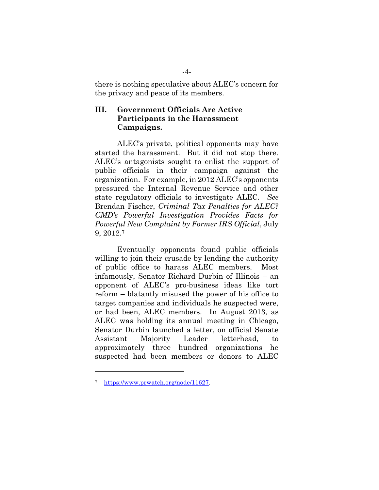there is nothing speculative about ALEC's concern for the privacy and peace of its members.

### **III. Government Officials Are Active Participants in the Harassment Campaigns.**

ALEC's private, political opponents may have started the harassment. But it did not stop there. ALEC's antagonists sought to enlist the support of public officials in their campaign against the organization. For example, in 2012 ALEC's opponents pressured the Internal Revenue Service and other state regulatory officials to investigate ALEC. *See* Brendan Fischer, *Criminal Tax Penalties for ALEC? CMD's Powerful Investigation Provides Facts for Powerful New Complaint by Former IRS Official*, July 9, 2012. 7

Eventually opponents found public officials willing to join their crusade by lending the authority of public office to harass ALEC members. Most infamously, Senator Richard Durbin of Illinois – an opponent of ALEC's pro-business ideas like tort reform – blatantly misused the power of his office to target companies and individuals he suspected were, or had been, ALEC members. In August 2013, as ALEC was holding its annual meeting in Chicago, Senator Durbin launched a letter, on official Senate Assistant Majority Leader letterhead, to approximately three hundred organizations he suspected had been members or donors to ALEC

<sup>7</sup> [https://www.prwatch.org/node/11627.](https://www.prwatch.org/node/11627)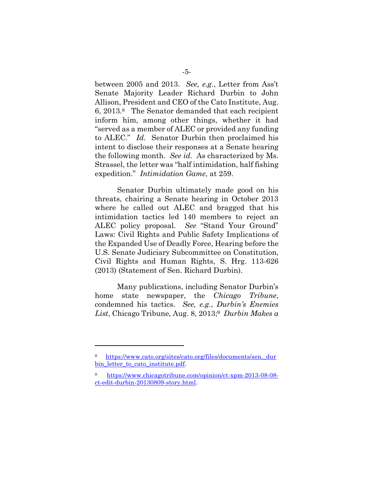between 2005 and 2013. *See, e.g.*, Letter from Ass't Senate Majority Leader Richard Durbin to John Allison, President and CEO of the Cato Institute, Aug. 6, 2013.8 The Senator demanded that each recipient inform him, among other things, whether it had "served as a member of ALEC or provided any funding to ALEC." *Id.* Senator Durbin then proclaimed his intent to disclose their responses at a Senate hearing the following month. *See id.* As characterized by Ms. Strassel, the letter was "half intimidation, half fishing expedition." *Intimidation Game*, at 259.

Senator Durbin ultimately made good on his threats, chairing a Senate hearing in October 2013 where he called out ALEC and bragged that his intimidation tactics led 140 members to reject an ALEC policy proposal. *See* "Stand Your Ground" Laws: Civil Rights and Public Safety Implications of the Expanded Use of Deadly Force, Hearing before the U.S. Senate Judiciary Subcommittee on Constitution, Civil Rights and Human Rights, S. Hrg. 113-626 (2013) (Statement of Sen. Richard Durbin).

Many publications, including Senator Durbin's home state newspaper, the *Chicago Tribune*, condemned his tactics. *See, e.g.*, *Durbin's Enemies List*, Chicago Tribune, Aug. 8, 2013; <sup>9</sup> *Durbin Makes a*

https://www.cato.org/sites/cato.org/files/documents/sen. dur bin letter to cato institute.pdf.

<sup>9</sup> [https://www.chicagotribune.com/opinion/ct-xpm-2013-08-08](https://www.chicagotribune.com/opinion/ct-xpm-2013-08-08-ct-edit-durbin-20130809-story.html) [ct-edit-durbin-20130809-story.html.](https://www.chicagotribune.com/opinion/ct-xpm-2013-08-08-ct-edit-durbin-20130809-story.html)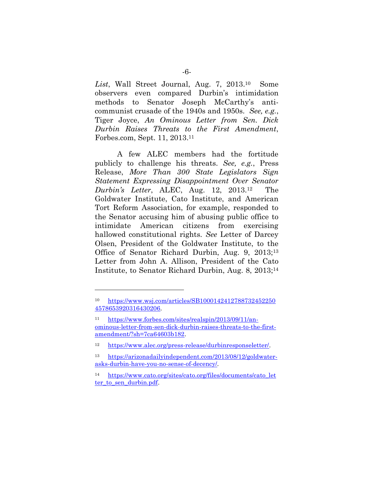List, Wall Street Journal, Aug. 7, 2013.<sup>10</sup> <sup>10</sup> Some observers even compared Durbin's intimidation methods to Senator Joseph McCarthy's anticommunist crusade of the 1940s and 1950s. *See, e.g.*, Tiger Joyce, *An Ominous Letter from Sen. Dick Durbin Raises Threats to the First Amendment*, Forbes.com, Sept. 11, 2013. <sup>11</sup>

A few ALEC members had the fortitude publicly to challenge his threats. *See, e.g.*, Press Release, *More Than 300 State Legislators Sign Statement Expressing Disappointment Over Senator Durbin's Letter*, ALEC, Aug. 12, 2013.<sup>12</sup> The Goldwater Institute, Cato Institute, and American Tort Reform Association, for example, responded to the Senator accusing him of abusing public office to intimidate American citizens from exercising hallowed constitutional rights. *See* Letter of Darcey Olsen, President of the Goldwater Institute, to the Office of Senator Richard Durbin, Aug. 9, 2013;<sup>13</sup> Letter from John A. Allison, President of the Cato Institute, to Senator Richard Durbin, Aug. 8, 2013; 14

<sup>10</sup> [https://www.wsj.com/articles/SB1000142412788732452250](https://www.wsj.com/articles/SB10001424127887324522504578653920316430206) [4578653920316430206.](https://www.wsj.com/articles/SB10001424127887324522504578653920316430206)

<sup>11</sup> [https://www.forbes.com/sites/realspin/2013/09/11/an](https://www.forbes.com/sites/realspin/2013/09/11/an-ominous-letter-from-sen-dick-durbin-raises-threats-to-the-first-amendment/?sh=7ca64603b182)[ominous-letter-from-sen-dick-durbin-raises-threats-to-the-first](https://www.forbes.com/sites/realspin/2013/09/11/an-ominous-letter-from-sen-dick-durbin-raises-threats-to-the-first-amendment/?sh=7ca64603b182)[amendment/?sh=7ca64603b182.](https://www.forbes.com/sites/realspin/2013/09/11/an-ominous-letter-from-sen-dick-durbin-raises-threats-to-the-first-amendment/?sh=7ca64603b182)

<sup>12</sup> [https://www.alec.org/press-release/durbinresponseletter/.](https://www.alec.org/press-release/durbinresponseletter/)

<sup>13</sup> [https://arizonadailyindependent.com/2013/08/12/goldwater](https://arizonadailyindependent.com/2013/08/12/goldwater-asks-durbin-have-you-no-sense-of-decency/)[asks-durbin-have-you-no-sense-of-decency/.](https://arizonadailyindependent.com/2013/08/12/goldwater-asks-durbin-have-you-no-sense-of-decency/)

<sup>14</sup> [https://www.cato.org/sites/cato.org/files/documents/cato\\_let](https://www.cato.org/sites/cato.org/files/documents/cato_letter_to_sen_durbin.pdf) ter to sen durbin.pdf.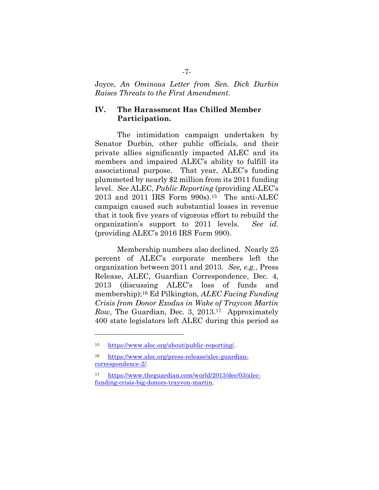Joyce, *An Ominous Letter from Sen. Dick Durbin Raises Threats to the First Amendment.*

### **IV. The Harassment Has Chilled Member Participation.**

The intimidation campaign undertaken by Senator Durbin, other public officials, and their private allies significantly impacted ALEC and its members and impaired ALEC's ability to fulfill its associational purpose. That year, ALEC's funding plummeted by nearly \$2 million from its 2011 funding level. *See* ALEC, *Public Reporting* (providing ALEC's 2013 and 2011 IRS Form 990s).15 The anti-ALEC campaign caused such substantial losses in revenue that it took five years of vigorous effort to rebuild the organization's support to 2011 levels. *See id.* (providing ALEC's 2016 IRS Form 990).

Membership numbers also declined. Nearly 25 percent of ALEC's corporate members left the organization between 2011 and 2013. *See, e.g.*, Press Release, ALEC, Guardian Correspondence, Dec. 4, 2013 (discussing ALEC's loss of funds and membership);<sup>16</sup> Ed Pilkington, *ALEC Facing Funding Crisis from Donor Exodus in Wake of Trayvon Martin Row*, The Guardian, Dec. 3, 2013.17 Approximately 400 state legislators left ALEC during this period as

<sup>15</sup> [https://www.alec.org/about/public-reporting/.](https://www.alec.org/about/public-reporting/)

<sup>16</sup> [https://www.alec.org/press-release/alec-guardian](https://www.alec.org/press-release/alec-guardian-correspondence-2/)[correspondence-2/.](https://www.alec.org/press-release/alec-guardian-correspondence-2/)

<sup>17</sup> [https://www.theguardian.com/world/2013/dec/03/alec](https://www.theguardian.com/world/2013/dec/03/alec-funding-crisis-big-donors-trayvon-martin)[funding-crisis-big-donors-trayvon-martin.](https://www.theguardian.com/world/2013/dec/03/alec-funding-crisis-big-donors-trayvon-martin)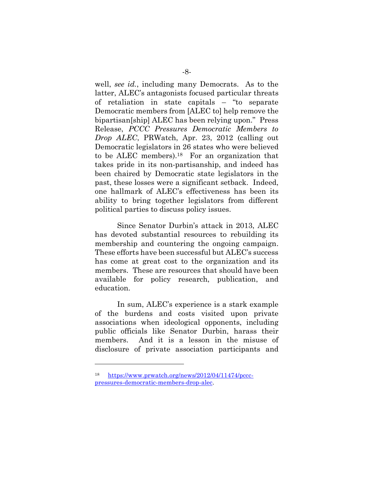well, *see id.*, including many Democrats. As to the latter, ALEC's antagonists focused particular threats of retaliation in state capitals – "to separate Democratic members from [ALEC to] help remove the bipartisan[ship] ALEC has been relying upon." Press Release, *PCCC Pressures Democratic Members to Drop ALEC*, PRWatch, Apr. 23, 2012 (calling out Democratic legislators in 26 states who were believed to be ALEC members). <sup>18</sup> For an organization that takes pride in its non-partisanship, and indeed has been chaired by Democratic state legislators in the past, these losses were a significant setback. Indeed, one hallmark of ALEC's effectiveness has been its ability to bring together legislators from different political parties to discuss policy issues.

Since Senator Durbin's attack in 2013, ALEC has devoted substantial resources to rebuilding its membership and countering the ongoing campaign. These efforts have been successful but ALEC's success has come at great cost to the organization and its members. These are resources that should have been available for policy research, publication, and education.

In sum, ALEC's experience is a stark example of the burdens and costs visited upon private associations when ideological opponents, including public officials like Senator Durbin, harass their members. And it is a lesson in the misuse of disclosure of private association participants and

<sup>18</sup> [https://www.prwatch.org/news/2012/04/11474/pccc](https://www.prwatch.org/news/2012/04/11474/pccc-pressures-democratic-members-drop-alec)[pressures-democratic-members-drop-alec.](https://www.prwatch.org/news/2012/04/11474/pccc-pressures-democratic-members-drop-alec)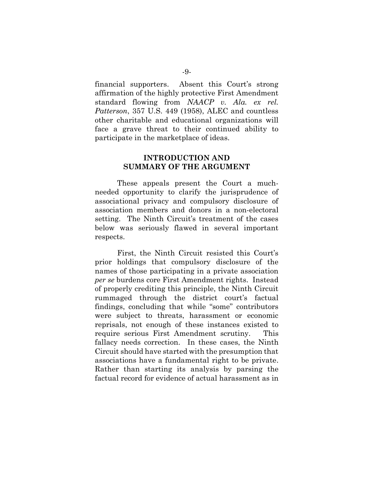financial supporters. Absent this Court's strong affirmation of the highly protective First Amendment standard flowing from *NAACP v. Ala. ex rel. Patterson*, 357 U.S. 449 (1958), ALEC and countless other charitable and educational organizations will face a grave threat to their continued ability to participate in the marketplace of ideas.

#### **INTRODUCTION AND SUMMARY OF THE ARGUMENT**

These appeals present the Court a muchneeded opportunity to clarify the jurisprudence of associational privacy and compulsory disclosure of association members and donors in a non-electoral setting. The Ninth Circuit's treatment of the cases below was seriously flawed in several important respects.

First, the Ninth Circuit resisted this Court's prior holdings that compulsory disclosure of the names of those participating in a private association *per se* burdens core First Amendment rights. Instead of properly crediting this principle, the Ninth Circuit rummaged through the district court's factual findings, concluding that while "some" contributors were subject to threats, harassment or economic reprisals, not enough of these instances existed to require serious First Amendment scrutiny. This fallacy needs correction. In these cases, the Ninth Circuit should have started with the presumption that associations have a fundamental right to be private. Rather than starting its analysis by parsing the factual record for evidence of actual harassment as in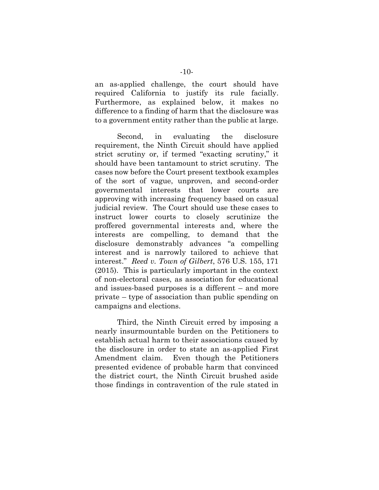an as-applied challenge, the court should have required California to justify its rule facially. Furthermore, as explained below, it makes no difference to a finding of harm that the disclosure was to a government entity rather than the public at large.

Second, in evaluating the disclosure requirement, the Ninth Circuit should have applied strict scrutiny or, if termed "exacting scrutiny," it should have been tantamount to strict scrutiny. The cases now before the Court present textbook examples of the sort of vague, unproven, and second-order governmental interests that lower courts are approving with increasing frequency based on casual judicial review. The Court should use these cases to instruct lower courts to closely scrutinize the proffered governmental interests and, where the interests are compelling, to demand that the disclosure demonstrably advances "a compelling interest and is narrowly tailored to achieve that interest." *Reed v. Town of Gilbert*, 576 U.S. 155, 171 (2015). This is particularly important in the context of non-electoral cases, as association for educational and issues-based purposes is a different – and more private – type of association than public spending on campaigns and elections.

Third, the Ninth Circuit erred by imposing a nearly insurmountable burden on the Petitioners to establish actual harm to their associations caused by the disclosure in order to state an as-applied First Amendment claim. Even though the Petitioners presented evidence of probable harm that convinced the district court, the Ninth Circuit brushed aside those findings in contravention of the rule stated in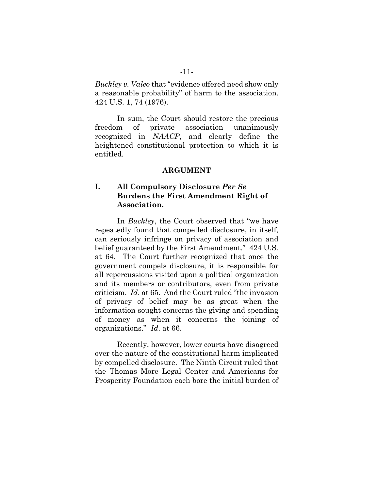*Buckley v. Valeo* that "evidence offered need show only a reasonable probability" of harm to the association. 424 U.S. 1, 74 (1976).

In sum, the Court should restore the precious freedom of private association unanimously recognized in *NAACP*, and clearly define the heightened constitutional protection to which it is entitled.

#### **ARGUMENT**

### **I. All Compulsory Disclosure** *Per Se* **Burdens the First Amendment Right of Association.**

In *Buckley*, the Court observed that "we have repeatedly found that compelled disclosure, in itself, can seriously infringe on privacy of association and belief guaranteed by the First Amendment." 424 U.S. at 64. The Court further recognized that once the government compels disclosure, it is responsible for all repercussions visited upon a political organization and its members or contributors, even from private criticism. *Id*. at 65. And the Court ruled "the invasion of privacy of belief may be as great when the information sought concerns the giving and spending of money as when it concerns the joining of organizations." *Id*. at 66.

Recently, however, lower courts have disagreed over the nature of the constitutional harm implicated by compelled disclosure. The Ninth Circuit ruled that the Thomas More Legal Center and Americans for Prosperity Foundation each bore the initial burden of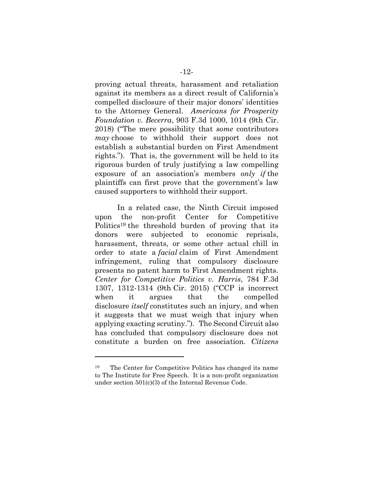proving actual threats, harassment and retaliation against its members as a direct result of California's compelled disclosure of their major donors' identities to the Attorney General. *Americans for Prosperity Foundation v. Becerra*, 903 F.3d 1000, 1014 (9th Cir. 2018) ("The mere possibility that *some* contributors *may* choose to withhold their support does not establish a substantial burden on First Amendment rights."). That is, the government will be held to its rigorous burden of truly justifying a law compelling exposure of an association's members *only if* the plaintiffs can first prove that the government's law caused supporters to withhold their support.

In a related case, the Ninth Circuit imposed upon the non-profit Center for Competitive Politics<sup>19</sup> the threshold burden of proving that its donors were subjected to economic reprisals, harassment, threats, or some other actual chill in order to state a *facial* claim of First Amendment infringement, ruling that compulsory disclosure presents no patent harm to First Amendment rights. *Center for Competitive Politics v. Harris*, 784 F.3d 1307, 1312-1314 (9th Cir. 2015) ("CCP is incorrect when it argues that the compelled disclosure *itself* constitutes such an injury, and when it suggests that we must weigh that injury when applying exacting scrutiny."). The Second Circuit also has concluded that compulsory disclosure does not constitute a burden on free association. *Citizens* 

<sup>19</sup> The Center for Competitive Politics has changed its name to The Institute for Free Speech. It is a non-profit organization under section 501(c)(3) of the Internal Revenue Code.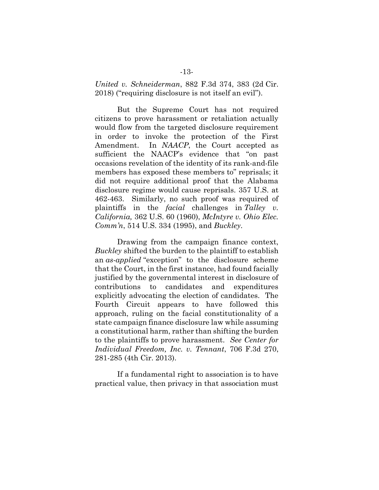*United v. Schneiderman*, 882 F.3d 374, 383 (2d Cir. 2018) ("requiring disclosure is not itself an evil").

But the Supreme Court has not required citizens to prove harassment or retaliation actually would flow from the targeted disclosure requirement in order to invoke the protection of the First Amendment. In *NAACP*, the Court accepted as sufficient the NAACP's evidence that "on past occasions revelation of the identity of its rank-and-file members has exposed these members to" reprisals; it did not require additional proof that the Alabama disclosure regime would cause reprisals. 357 U.S. at 462-463. Similarly, no such proof was required of plaintiffs in the *facial* challenges in *Talley v. California,* 362 U.S. 60 (1960), *McIntyre v. Ohio Elec. Comm'n*, 514 U.S. 334 (1995), and *Buckley*.

Drawing from the campaign finance context, *Buckley* shifted the burden to the plaintiff to establish an *as-applied* "exception" to the disclosure scheme that the Court, in the first instance, had found facially justified by the governmental interest in disclosure of contributions to candidates and expenditures explicitly advocating the election of candidates. The Fourth Circuit appears to have followed this approach, ruling on the facial constitutionality of a state campaign finance disclosure law while assuming a constitutional harm, rather than shifting the burden to the plaintiffs to prove harassment. *See Center for Individual Freedom, Inc. v. Tennant*, 706 F.3d 270, 281-285 (4th Cir. 2013).

If a fundamental right to association is to have practical value, then privacy in that association must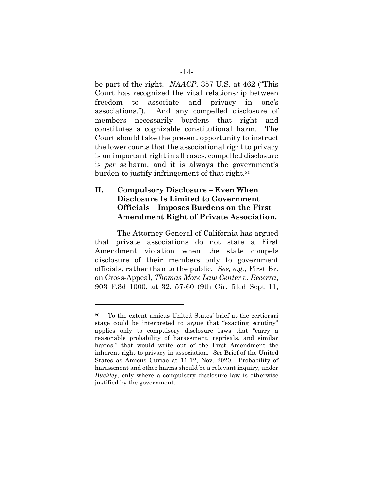be part of the right. *NAACP*, 357 U.S. at 462 ("This Court has recognized the vital relationship between freedom to associate and privacy in one's associations."). And any compelled disclosure of members necessarily burdens that right and constitutes a cognizable constitutional harm. The Court should take the present opportunity to instruct the lower courts that the associational right to privacy is an important right in all cases, compelled disclosure is *per se* harm, and it is always the government's burden to justify infringement of that right.<sup>20</sup>

### **II. Compulsory Disclosure – Even When Disclosure Is Limited to Government Officials – Imposes Burdens on the First Amendment Right of Private Association.**

The Attorney General of California has argued that private associations do not state a First Amendment violation when the state compels disclosure of their members only to government officials, rather than to the public. *See, e.g.*, First Br. on Cross-Appeal, *Thomas More Law Center v. Becerra*, 903 F.3d 1000, at 32, 57-60 (9th Cir. filed Sept 11,

<sup>20</sup> To the extent amicus United States' brief at the certiorari stage could be interpreted to argue that "exacting scrutiny" applies only to compulsory disclosure laws that "carry a reasonable probability of harassment, reprisals, and similar harms," that would write out of the First Amendment the inherent right to privacy in association. *See* Brief of the United States as Amicus Curiae at 11-12, Nov. 2020. Probability of harassment and other harms should be a relevant inquiry, under *Buckley*, only where a compulsory disclosure law is otherwise justified by the government.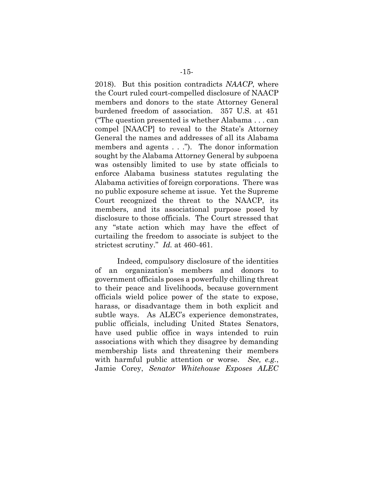2018). But this position contradicts *NAACP*, where the Court ruled court-compelled disclosure of NAACP members and donors to the state Attorney General burdened freedom of association. 357 U.S. at 451 ("The question presented is whether Alabama . . . can compel [NAACP] to reveal to the State's Attorney General the names and addresses of all its Alabama members and agents . . ."). The donor information sought by the Alabama Attorney General by subpoena was ostensibly limited to use by state officials to enforce Alabama business statutes regulating the Alabama activities of foreign corporations. There was no public exposure scheme at issue. Yet the Supreme Court recognized the threat to the NAACP, its members, and its associational purpose posed by disclosure to those officials. The Court stressed that any "state action which may have the effect of curtailing the freedom to associate is subject to the strictest scrutiny." *Id.* at 460-461.

Indeed, compulsory disclosure of the identities of an organization's members and donors to government officials poses a powerfully chilling threat to their peace and livelihoods, because government officials wield police power of the state to expose, harass, or disadvantage them in both explicit and subtle ways. As ALEC's experience demonstrates, public officials, including United States Senators, have used public office in ways intended to ruin associations with which they disagree by demanding membership lists and threatening their members with harmful public attention or worse. *See, e.g.*, Jamie Corey, *Senator Whitehouse Exposes ALEC*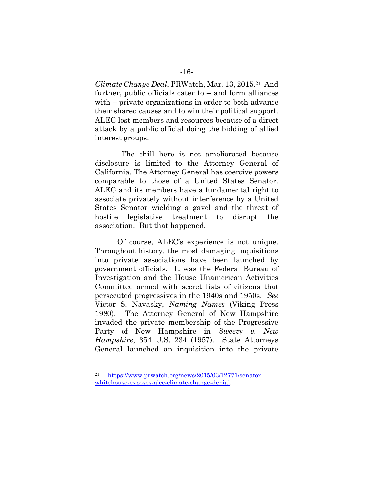*Climate Change Deal*, PRWatch, Mar. 13, 2015.21 And further, public officials cater to – and form alliances with – private organizations in order to both advance their shared causes and to win their political support. ALEC lost members and resources because of a direct attack by a public official doing the bidding of allied interest groups.

 The chill here is not ameliorated because disclosure is limited to the Attorney General of California. The Attorney General has coercive powers comparable to those of a United States Senator. ALEC and its members have a fundamental right to associate privately without interference by a United States Senator wielding a gavel and the threat of hostile legislative treatment to disrupt the association. But that happened.

Of course, ALEC's experience is not unique. Throughout history, the most damaging inquisitions into private associations have been launched by government officials. It was the Federal Bureau of Investigation and the House Unamerican Activities Committee armed with secret lists of citizens that persecuted progressives in the 1940s and 1950s. *See* Victor S. Navasky, *Naming Names* (Viking Press 1980). The Attorney General of New Hampshire invaded the private membership of the Progressive Party of New Hampshire in *Sweezy v. New Hampshire*, 354 U.S. 234 (1957). State Attorneys General launched an inquisition into the private

<sup>21</sup> [https://www.prwatch.org/news/2015/03/12771/senator](https://www.prwatch.org/news/2015/03/12771/senator-whitehouse-exposes-alec-climate-change-denial)[whitehouse-exposes-alec-climate-change-denial.](https://www.prwatch.org/news/2015/03/12771/senator-whitehouse-exposes-alec-climate-change-denial)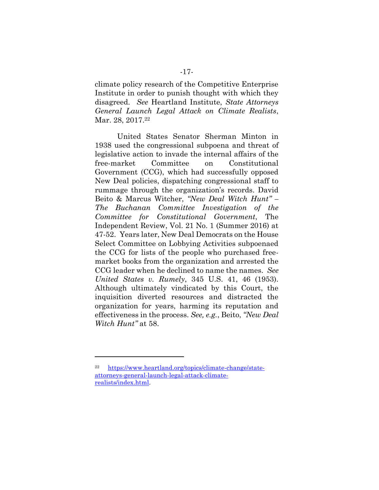climate policy research of the Competitive Enterprise Institute in order to punish thought with which they disagreed. *See* Heartland Institute, *State Attorneys General Launch Legal Attack on Climate Realists*, Mar. 28, 2017.<sup>22</sup>

United States Senator Sherman Minton in 1938 used the congressional subpoena and threat of legislative action to invade the internal affairs of the free-market Committee on Constitutional Government (CCG), which had successfully opposed New Deal policies, dispatching congressional staff to rummage through the organization's records. David Beito & Marcus Witcher, *"New Deal Witch Hunt" – The Buchanan Committee Investigation of the Committee for Constitutional Government*, The Independent Review, Vol. 21 No. 1 (Summer 2016) at 47-52. Years later, New Deal Democrats on the House Select Committee on Lobbying Activities subpoenaed the CCG for lists of the people who purchased freemarket books from the organization and arrested the CCG leader when he declined to name the names. *See United States v. Rumely*, 345 U.S. 41, 46 (1953). Although ultimately vindicated by this Court, the inquisition diverted resources and distracted the organization for years, harming its reputation and effectiveness in the process. *See, e.g.*, Beito, *"New Deal Witch Hunt"* at 58.

<sup>22</sup> [https://www.heartland.org/topics/climate-change/state](https://www.heartland.org/topics/climate-change/state-attorneys-general-launch-legal-attack-climate-realists/index.html)[attorneys-general-launch-legal-attack-climate](https://www.heartland.org/topics/climate-change/state-attorneys-general-launch-legal-attack-climate-realists/index.html)[realists/index.html.](https://www.heartland.org/topics/climate-change/state-attorneys-general-launch-legal-attack-climate-realists/index.html)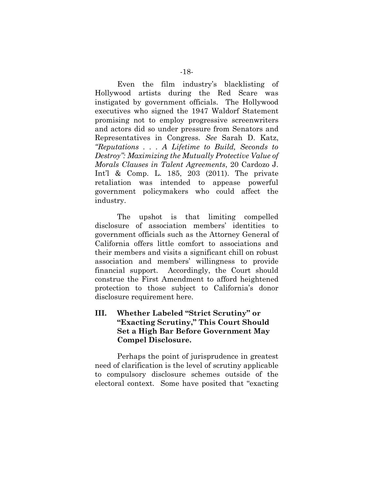Even the film industry's blacklisting of Hollywood artists during the Red Scare was instigated by government officials. The Hollywood executives who signed the 1947 Waldorf Statement promising not to employ progressive screenwriters and actors did so under pressure from Senators and Representatives in Congress. *See* Sarah D. Katz, *"Reputations . . . A Lifetime to Build, Seconds to Destroy": Maximizing the Mutually Protective Value of Morals Clauses in Talent Agreements*, 20 Cardozo J. Int'l & Comp. L. 185, 203 (2011). The private retaliation was intended to appease powerful government policymakers who could affect the industry.

The upshot is that limiting compelled disclosure of association members' identities to government officials such as the Attorney General of California offers little comfort to associations and their members and visits a significant chill on robust association and members' willingness to provide financial support. Accordingly, the Court should construe the First Amendment to afford heightened protection to those subject to California's donor disclosure requirement here.

### **III. Whether Labeled "Strict Scrutiny" or "Exacting Scrutiny," This Court Should Set a High Bar Before Government May Compel Disclosure.**

Perhaps the point of jurisprudence in greatest need of clarification is the level of scrutiny applicable to compulsory disclosure schemes outside of the electoral context. Some have posited that "exacting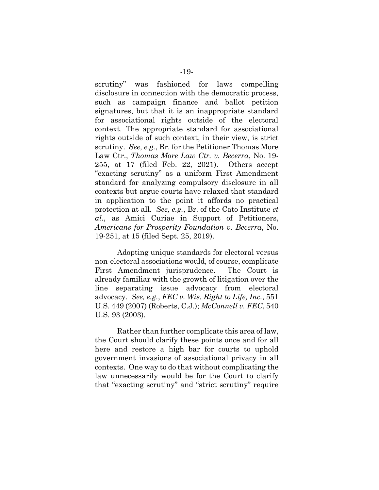scrutiny" was fashioned for laws compelling disclosure in connection with the democratic process, such as campaign finance and ballot petition signatures, but that it is an inappropriate standard for associational rights outside of the electoral context. The appropriate standard for associational rights outside of such context, in their view, is strict scrutiny. *See, e.g.*, Br. for the Petitioner Thomas More Law Ctr., *Thomas More Law Ctr. v. Becerra*, No. 19- 255, at 17 (filed Feb. 22, 2021). Others accept "exacting scrutiny" as a uniform First Amendment standard for analyzing compulsory disclosure in all contexts but argue courts have relaxed that standard in application to the point it affords no practical protection at all. *See, e.g.*, Br. of the Cato Institute *et al.*, as Amici Curiae in Support of Petitioners, *Americans for Prosperity Foundation v. Becerra*, No. 19-251, at 15 (filed Sept. 25, 2019).

Adopting unique standards for electoral versus non-electoral associations would, of course, complicate First Amendment jurisprudence. The Court is already familiar with the growth of litigation over the line separating issue advocacy from electoral advocacy. *See, e.g.*, *FEC v. Wis. Right to Life, Inc.*, 551 U.S. 449 (2007) (Roberts, C.J.); *McConnell v. FEC*, 540 U.S. 93 (2003).

Rather than further complicate this area of law, the Court should clarify these points once and for all here and restore a high bar for courts to uphold government invasions of associational privacy in all contexts. One way to do that without complicating the law unnecessarily would be for the Court to clarify that "exacting scrutiny" and "strict scrutiny" require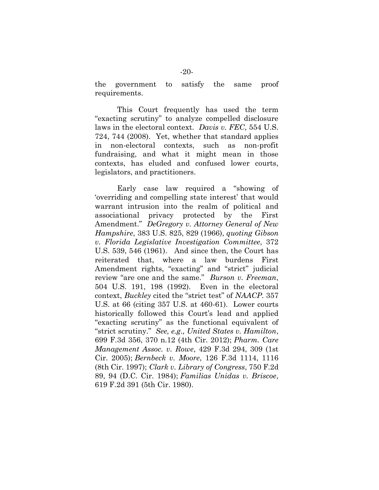the government to satisfy the same proof requirements.

This Court frequently has used the term "exacting scrutiny" to analyze compelled disclosure laws in the electoral context. *Davis v. FEC*, 554 U.S. 724, 744 (2008). Yet, whether that standard applies in non-electoral contexts, such as non-profit fundraising, and what it might mean in those contexts, has eluded and confused lower courts, legislators, and practitioners.

Early case law required a "showing of 'overriding and compelling state interest' that would warrant intrusion into the realm of political and associational privacy protected by the First Amendment." *DeGregory v. Attorney General of New Hampshire*, 383 U.S. 825, 829 (1966), *quoting Gibson v. Florida Legislative Investigation Committee*, 372 U.S. 539, 546 (1961). And since then, the Court has reiterated that, where a law burdens First Amendment rights, "exacting" and "strict" judicial review "are one and the same." *Burson v. Freeman*, 504 U.S. 191, 198 (1992). Even in the electoral context, *Buckley* cited the "strict test" of *NAACP*. 357 U.S. at 66 (citing 357 U.S. at 460-61). Lower courts historically followed this Court's lead and applied "exacting scrutiny" as the functional equivalent of "strict scrutiny." *See, e.g., United States v. Hamilton*, 699 F.3d 356, 370 n.12 (4th Cir. 2012); *Pharm. Care Management Assoc. v. Rowe*, 429 F.3d 294, 309 (1st Cir. 2005); *Bernbeck v. Moore*, 126 F.3d 1114, 1116 (8th Cir. 1997); *Clark v. Library of Congress*, 750 F.2d 89, 94 (D.C. Cir. 1984); *Familias Unidas v. Briscoe*, 619 F.2d 391 (5th Cir. 1980).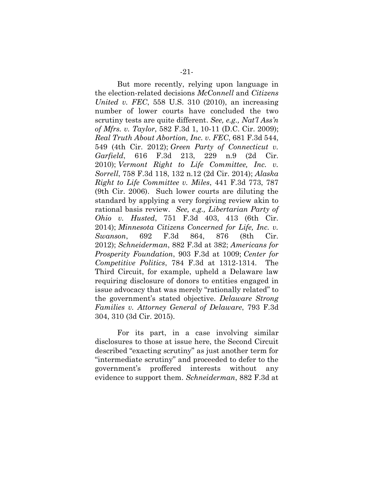But more recently, relying upon language in the election-related decisions *McConnell* and *Citizens United v. FEC*, 558 U.S. 310 (2010), an increasing number of lower courts have concluded the two scrutiny tests are quite different. *See, e.g., Nat'l Ass'n of Mfrs. v. Taylor*, 582 F.3d 1, 10-11 (D.C. Cir. 2009); *Real Truth About Abortion, Inc. v. FEC*, 681 F.3d 544, 549 (4th Cir. 2012); *Green Party of Connecticut v. Garfield*, 616 F.3d 213, 229 n.9 (2d Cir. 2010); *Vermont Right to Life Committee, Inc. v. Sorrell*, 758 F.3d 118, 132 n.12 (2d Cir. 2014); *Alaska Right to Life Committee v. Miles*, 441 F.3d 773, 787 (9th Cir. 2006). Such lower courts are diluting the standard by applying a very forgiving review akin to rational basis review. *See, e.g., Libertarian Party of Ohio v. Husted*, 751 F.3d 403, 413 (6th Cir. 2014); *Minnesota Citizens Concerned for Life, Inc. v. Swanson*, 692 F.3d 864, 876 (8th Cir. 2012); *Schneiderman*, 882 F.3d at 382; *Americans for Prosperity Foundation*, 903 F.3d at 1009; *Center for Competitive Politics*, 784 F.3d at 1312-1314. The Third Circuit, for example, upheld a Delaware law requiring disclosure of donors to entities engaged in issue advocacy that was merely "rationally related" to the government's stated objective. *Delaware Strong Families v. Attorney General of Delaware*, 793 F.3d 304, 310 (3d Cir. 2015).

For its part, in a case involving similar disclosures to those at issue here, the Second Circuit described "exacting scrutiny" as just another term for "intermediate scrutiny" and proceeded to defer to the government's proffered interests without any evidence to support them. *Schneiderman*, 882 F.3d at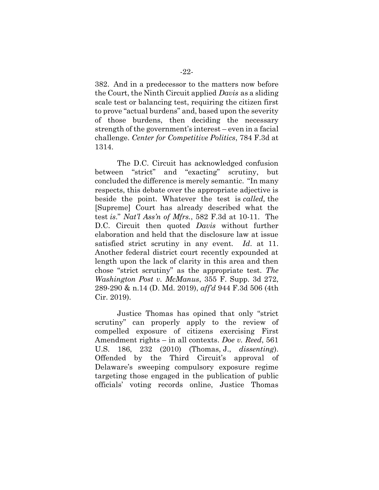382. And in a predecessor to the matters now before the Court, the Ninth Circuit applied *Davis* as a sliding scale test or balancing test, requiring the citizen first to prove "actual burdens" and, based upon the severity of those burdens, then deciding the necessary strength of the government's interest – even in a facial challenge. *Center for Competitive Politics*, 784 F.3d at 1314.

The D.C. Circuit has acknowledged confusion between "strict" and "exacting" scrutiny, but concluded the difference is merely semantic. "In many respects, this debate over the appropriate adjective is beside the point. Whatever the test is *called,* the [Supreme] Court has already described what the test *is*." *Nat'l Ass'n of Mfrs.*, 582 F.3d at 10-11. The D.C. Circuit then quoted *Davis* without further elaboration and held that the disclosure law at issue satisfied strict scrutiny in any event. *Id*. at 11. Another federal district court recently expounded at length upon the lack of clarity in this area and then chose "strict scrutiny" as the appropriate test. *The Washington Post v. McManus*, 355 F. Supp. 3d 272, 289-290 & n.14 (D. Md. 2019), *aff'd* 944 F.3d 506 (4th Cir. 2019).

Justice Thomas has opined that only "strict scrutiny" can properly apply to the review of compelled exposure of citizens exercising First Amendment rights – in all contexts. *Doe v. Reed*, 561 U.S. 186, 232 (2010) (Thomas, J., *dissenting*). Offended by the Third Circuit's approval of Delaware's sweeping compulsory exposure regime targeting those engaged in the publication of public officials' voting records online, Justice Thomas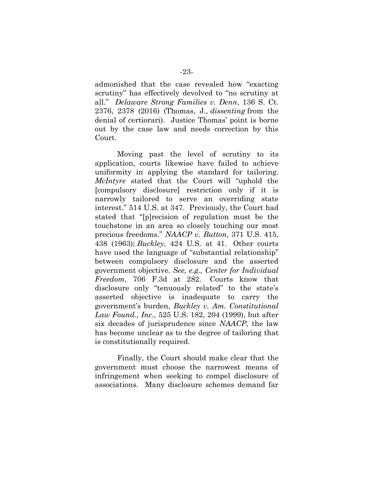admonished that the case revealed how "exacting scrutiny" has effectively devolved to "no scrutiny at all." *Delaware Strong Families v. Denn*, 136 S. Ct. 2376, 2378 (2016) (Thomas, J., *dissenting* from the denial of certiorari). Justice Thomas' point is borne out by the case law and needs correction by this Court.

Moving past the level of scrutiny to its application, courts likewise have failed to achieve uniformity in applying the standard for tailoring. *McIntyre* stated that the Court will "uphold the [compulsory disclosure] restriction only if it is narrowly tailored to serve an overriding state interest." 514 U.S. at 347. Previously, the Court had stated that "[p]recision of regulation must be the touchstone in an area so closely touching our most precious freedoms." *NAACP v. Button*, 371 U.S. 415, 438 (1963); *Buckley*, 424 U.S. at 41. Other courts have used the language of "substantial relationship" between compulsory disclosure and the asserted government objective. *See, e.g., Center for Individual Freedom*, 706 F.3d at 282. Courts know that disclosure only "tenuously related" to the state's asserted objective is inadequate to carry the government's burden, *Buckley v. Am. Constitutional Law Found., Inc.*, 525 U.S. 182, 204 (1999), but after six decades of jurisprudence since *NAACP*, the law has become unclear as to the degree of tailoring that is constitutionally required.

Finally, the Court should make clear that the government must choose the narrowest means of infringement when seeking to compel disclosure of associations. Many disclosure schemes demand far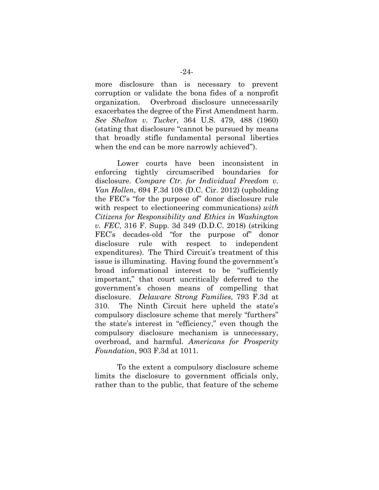more disclosure than is necessary to prevent corruption or validate the bona fides of a nonprofit organization. Overbroad disclosure unnecessarily exacerbates the degree of the First Amendment harm. *See Shelton v. Tucker*, 364 U.S. 479, 488 (1960) (stating that disclosure "cannot be pursued by means that broadly stifle fundamental personal liberties when the end can be more narrowly achieved").

Lower courts have been inconsistent in enforcing tightly circumscribed boundaries for disclosure. *Compare Ctr. for Individual Freedom v. Van Hollen*, 694 F.3d 108 (D.C. Cir. 2012) (upholding the FEC's "for the purpose of" donor disclosure rule with respect to electioneering communications) *with Citizens for Responsibility and Ethics in Washington v. FEC*, 316 F. Supp. 3d 349 (D.D.C. 2018) (striking FEC's decades-old "for the purpose of" donor disclosure rule with respect to independent expenditures). The Third Circuit's treatment of this issue is illuminating. Having found the government's broad informational interest to be "sufficiently important," that court uncritically deferred to the government's chosen means of compelling that disclosure. *Delaware Strong Families*, 793 F.3d at 310. The Ninth Circuit here upheld the state's compulsory disclosure scheme that merely "furthers" the state's interest in "efficiency," even though the compulsory disclosure mechanism is unnecessary, overbroad, and harmful. *Americans for Prosperity Foundation*, 903 F.3d at 1011.

To the extent a compulsory disclosure scheme limits the disclosure to government officials only, rather than to the public, that feature of the scheme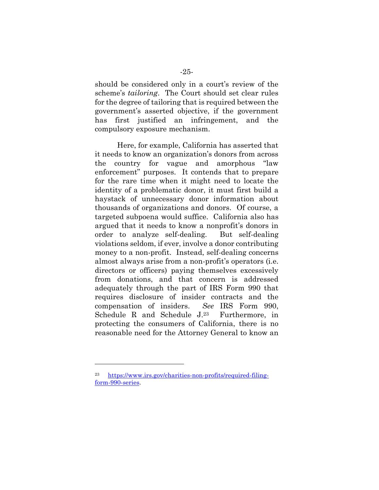should be considered only in a court's review of the scheme's *tailoring*. The Court should set clear rules for the degree of tailoring that is required between the government's asserted objective, if the government has first justified an infringement, and the compulsory exposure mechanism.

Here, for example, California has asserted that it needs to know an organization's donors from across the country for vague and amorphous "law enforcement" purposes. It contends that to prepare for the rare time when it might need to locate the identity of a problematic donor, it must first build a haystack of unnecessary donor information about thousands of organizations and donors. Of course, a targeted subpoena would suffice. California also has argued that it needs to know a nonprofit's donors in order to analyze self-dealing. But self-dealing violations seldom, if ever, involve a donor contributing money to a non-profit. Instead, self-dealing concerns almost always arise from a non-profit's operators (i.e. directors or officers) paying themselves excessively from donations, and that concern is addressed adequately through the part of IRS Form 990 that requires disclosure of insider contracts and the compensation of insiders. *See* IRS Form 990, Schedule R and Schedule J. Furthermore, in protecting the consumers of California, there is no reasonable need for the Attorney General to know an

<sup>23</sup> [https://www.irs.gov/charities-non-profits/required-filing](https://www.irs.gov/charities-non-profits/required-filing-form-990-series)[form-990-series.](https://www.irs.gov/charities-non-profits/required-filing-form-990-series)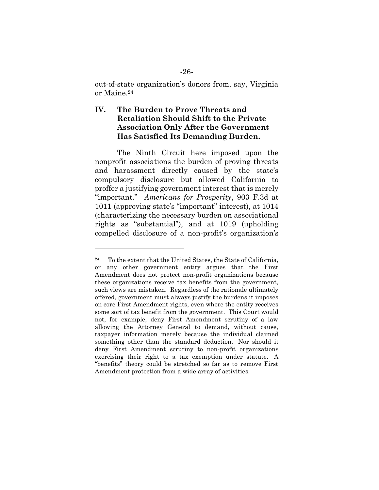out-of-state organization's donors from, say, Virginia or Maine.<sup>24</sup>

### **IV. The Burden to Prove Threats and Retaliation Should Shift to the Private Association Only After the Government Has Satisfied Its Demanding Burden.**

The Ninth Circuit here imposed upon the nonprofit associations the burden of proving threats and harassment directly caused by the state's compulsory disclosure but allowed California to proffer a justifying government interest that is merely "important." *Americans for Prosperity*, 903 F.3d at 1011 (approving state's "important" interest), at 1014 (characterizing the necessary burden on associational rights as "substantial"), and at 1019 (upholding compelled disclosure of a non-profit's organization's

<sup>24</sup> To the extent that the United States, the State of California, or any other government entity argues that the First Amendment does not protect non-profit organizations because these organizations receive tax benefits from the government, such views are mistaken. Regardless of the rationale ultimately offered, government must always justify the burdens it imposes on core First Amendment rights, even where the entity receives some sort of tax benefit from the government. This Court would not, for example, deny First Amendment scrutiny of a law allowing the Attorney General to demand, without cause, taxpayer information merely because the individual claimed something other than the standard deduction. Nor should it deny First Amendment scrutiny to non-profit organizations exercising their right to a tax exemption under statute. A "benefits" theory could be stretched so far as to remove First Amendment protection from a wide array of activities.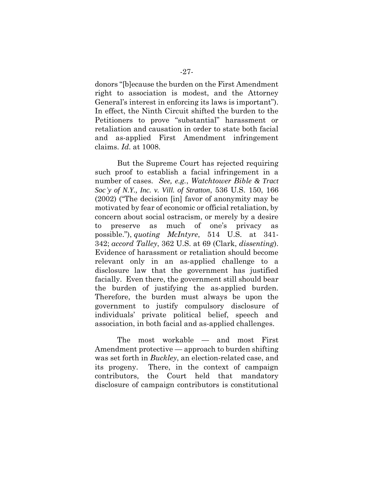donors "[b]ecause the burden on the First Amendment right to association is modest, and the Attorney General's interest in enforcing its laws is important"). In effect, the Ninth Circuit shifted the burden to the Petitioners to prove "substantial" harassment or retaliation and causation in order to state both facial and as-applied First Amendment infringement claims. *Id*. at 1008.

But the Supreme Court has rejected requiring such proof to establish a facial infringement in a number of cases. *See, e.g.*, *Watchtower Bible & Tract Soc'y of N.Y., Inc. v. Vill. of Stratton*, 536 U.S. 150, 166 (2002) ("The decision [in] favor of anonymity may be motivated by fear of economic or official retaliation, by concern about social ostracism, or merely by a desire to preserve as much of one's privacy as possible."), *quoting McIntyre*, 514 U.S. at 341- 342; *accord Talley*, 362 U.S. at 69 (Clark, *dissenting*). Evidence of harassment or retaliation should become relevant only in an as-applied challenge to a disclosure law that the government has justified facially. Even there, the government still should bear the burden of justifying the as-applied burden. Therefore, the burden must always be upon the government to justify compulsory disclosure of individuals' private political belief, speech and association, in both facial and as-applied challenges.

The most workable — and most First Amendment protective — approach to burden shifting was set forth in *Buckley*, an election-related case, and its progeny. There, in the context of campaign contributors, the Court held that mandatory disclosure of campaign contributors is constitutional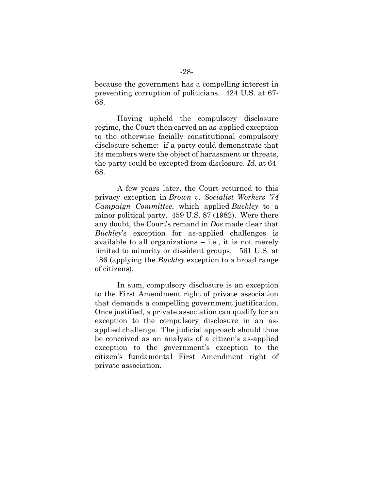because the government has a compelling interest in preventing corruption of politicians. 424 U.S. at 67- 68.

Having upheld the compulsory disclosure regime, the Court then carved an as-applied exception to the otherwise facially constitutional compulsory disclosure scheme: if a party could demonstrate that its members were the object of harassment or threats, the party could be excepted from disclosure. *Id.* at 64- 68.

A few years later, the Court returned to this privacy exception in *Brown v. Socialist Workers '74 Campaign Committee*, which applied *Buckley* to a minor political party. 459 U.S. 87 (1982). Were there any doubt, the Court's remand in *Doe* made clear that *Buckley*'s exception for as-applied challenges is available to all organizations  $-$  i.e., it is not merely limited to minority or dissident groups. 561 U.S. at 186 (applying the *Buckley* exception to a broad range of citizens).

In sum, compulsory disclosure is an exception to the First Amendment right of private association that demands a compelling government justification. Once justified, a private association can qualify for an exception to the compulsory disclosure in an asapplied challenge. The judicial approach should thus be conceived as an analysis of a citizen's as-applied exception to the government's exception to the citizen's fundamental First Amendment right of private association.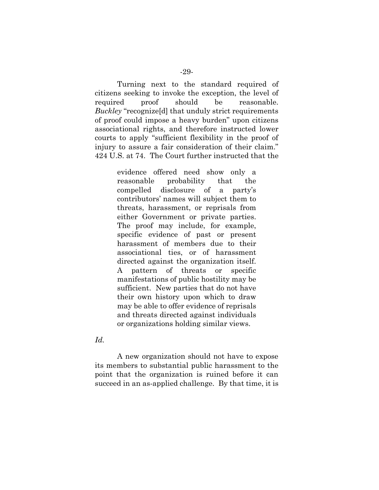Turning next to the standard required of citizens seeking to invoke the exception, the level of required proof should be reasonable. *Buckley* "recognize[d] that unduly strict requirements of proof could impose a heavy burden" upon citizens associational rights, and therefore instructed lower courts to apply "sufficient flexibility in the proof of injury to assure a fair consideration of their claim." 424 U.S. at 74. The Court further instructed that the

> evidence offered need show only a reasonable probability that the compelled disclosure of a party's contributors' names will subject them to threats, harassment, or reprisals from either Government or private parties. The proof may include, for example, specific evidence of past or present harassment of members due to their associational ties, or of harassment directed against the organization itself. A pattern of threats or specific manifestations of public hostility may be sufficient. New parties that do not have their own history upon which to draw may be able to offer evidence of reprisals and threats directed against individuals or organizations holding similar views.

#### *Id.*

A new organization should not have to expose its members to substantial public harassment to the point that the organization is ruined before it can succeed in an as-applied challenge. By that time, it is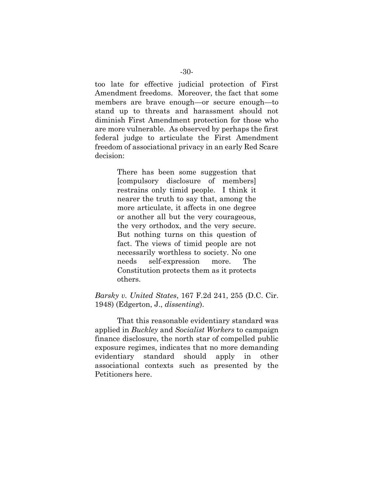too late for effective judicial protection of First Amendment freedoms. Moreover, the fact that some members are brave enough—or secure enough—to stand up to threats and harassment should not diminish First Amendment protection for those who are more vulnerable. As observed by perhaps the first federal judge to articulate the First Amendment freedom of associational privacy in an early Red Scare decision:

> There has been some suggestion that [compulsory disclosure of members] restrains only timid people. I think it nearer the truth to say that, among the more articulate, it affects in one degree or another all but the very courageous, the very orthodox, and the very secure. But nothing turns on this question of fact. The views of timid people are not necessarily worthless to society. No one needs self-expression more. The Constitution protects them as it protects others.

*Barsky v. United States*, 167 F.2d 241, 255 (D.C. Cir. 1948) (Edgerton, J., *dissenting*).

That this reasonable evidentiary standard was applied in *Buckley* and *Socialist Workers* to campaign finance disclosure, the north star of compelled public exposure regimes, indicates that no more demanding evidentiary standard should apply in other associational contexts such as presented by the Petitioners here.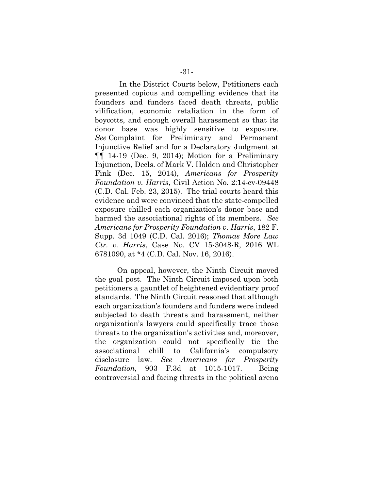In the District Courts below, Petitioners each presented copious and compelling evidence that its founders and funders faced death threats, public vilification, economic retaliation in the form of boycotts, and enough overall harassment so that its donor base was highly sensitive to exposure. *See* Complaint for Preliminary and Permanent Injunctive Relief and for a Declaratory Judgment at ¶¶ 14-19 (Dec. 9, 2014); Motion for a Preliminary Injunction, Decls. of Mark V. Holden and Christopher Fink (Dec. 15, 2014), *Americans for Prosperity Foundation v. Harris*, Civil Action No. 2:14-cv-09448 (C.D. Cal. Feb. 23, 2015). The trial courts heard this evidence and were convinced that the state-compelled exposure chilled each organization's donor base and harmed the associational rights of its members. *See Americans for Prosperity Foundation v. Harris*, 182 F. Supp. 3d 1049 (C.D. Cal. 2016); *Thomas More Law Ctr. v. Harris*, Case No. CV 15-3048-R, 2016 WL 6781090, at \*4 (C.D. Cal. Nov. 16, 2016).

On appeal, however, the Ninth Circuit moved the goal post. The Ninth Circuit imposed upon both petitioners a gauntlet of heightened evidentiary proof standards. The Ninth Circuit reasoned that although each organization's founders and funders were indeed subjected to death threats and harassment, neither organization's lawyers could specifically trace those threats to the organization's activities and, moreover, the organization could not specifically tie the associational chill to California's compulsory disclosure law. *See Americans for Prosperity Foundation*, 903 F.3d at 1015-1017. Being controversial and facing threats in the political arena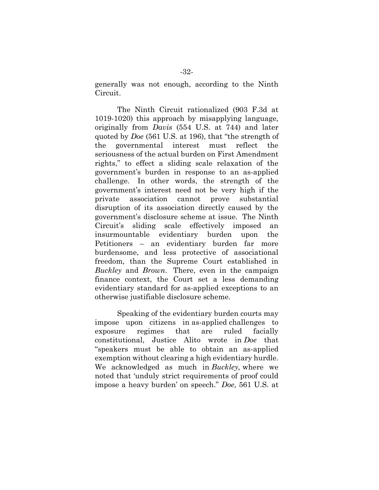generally was not enough, according to the Ninth Circuit.

The Ninth Circuit rationalized (903 F.3d at 1019-1020) this approach by misapplying language, originally from *Davis* (554 U.S. at 744) and later quoted by *Doe* (561 U.S. at 196), that "the strength of the governmental interest must reflect the seriousness of the actual burden on First Amendment rights," to effect a sliding scale relaxation of the government's burden in response to an as-applied challenge. In other words, the strength of the government's interest need not be very high if the private association cannot prove substantial disruption of its association directly caused by the government's disclosure scheme at issue. The Ninth Circuit's sliding scale effectively imposed an insurmountable evidentiary burden upon the Petitioners – an evidentiary burden far more burdensome, and less protective of associational freedom, than the Supreme Court established in *Buckley* and *Brown*. There, even in the campaign finance context, the Court set a less demanding evidentiary standard for as-applied exceptions to an otherwise justifiable disclosure scheme.

Speaking of the evidentiary burden courts may impose upon citizens in as-applied challenges to exposure regimes that are ruled facially constitutional, Justice Alito wrote in *Doe* that "speakers must be able to obtain an as-applied exemption without clearing a high evidentiary hurdle. We acknowledged as much in *Buckley,* where we noted that 'unduly strict requirements of proof could impose a heavy burden' on speech." *Doe*, 561 U.S. at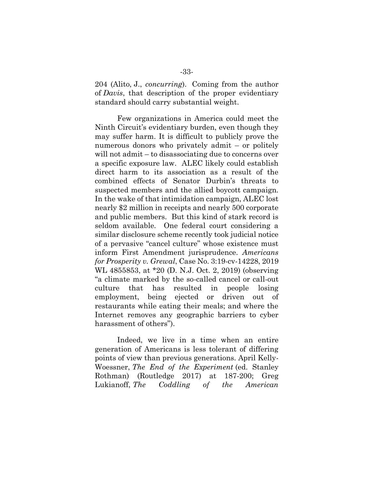204 (Alito, J., *concurring*). Coming from the author of *Davis*, that description of the proper evidentiary standard should carry substantial weight.

Few organizations in America could meet the Ninth Circuit's evidentiary burden, even though they may suffer harm. It is difficult to publicly prove the numerous donors who privately admit – or politely will not admit – to disassociating due to concerns over a specific exposure law. ALEC likely could establish direct harm to its association as a result of the combined effects of Senator Durbin's threats to suspected members and the allied boycott campaign. In the wake of that intimidation campaign, ALEC lost nearly \$2 million in receipts and nearly 500 corporate and public members. But this kind of stark record is seldom available. One federal court considering a similar disclosure scheme recently took judicial notice of a pervasive "cancel culture" whose existence must inform First Amendment jurisprudence. *Americans for Prosperity v. Grewal*, Case No. 3:19-cv-14228, 2019 WL 4855853, at \*20 (D. N.J. Oct. 2, 2019) (observing "a climate marked by the so-called cancel or call-out culture that has resulted in people losing employment, being ejected or driven out of restaurants while eating their meals; and where the Internet removes any geographic barriers to cyber harassment of others").

Indeed, we live in a time when an entire generation of Americans is less tolerant of differing points of view than previous generations. April Kelly-Woessner, *The End of the Experiment* (ed. Stanley Rothman) (Routledge 2017) at 187-200; Greg Lukianoff, *The Coddling of the American*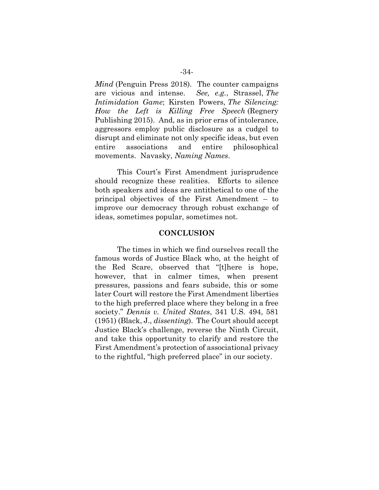*Mind* (Penguin Press 2018). The counter campaigns are vicious and intense. *See, e.g.*, Strassel, *The Intimidation Game*; Kirsten Powers, *The Silencing: How the Left is Killing Free Speech* (Regnery Publishing 2015). And, as in prior eras of intolerance, aggressors employ public disclosure as a cudgel to disrupt and eliminate not only specific ideas, but even entire associations and entire philosophical movements. Navasky, *Naming Names*.

This Court's First Amendment jurisprudence should recognize these realities. Efforts to silence both speakers and ideas are antithetical to one of the principal objectives of the First Amendment – to improve our democracy through robust exchange of ideas, sometimes popular, sometimes not.

#### **CONCLUSION**

The times in which we find ourselves recall the famous words of Justice Black who, at the height of the Red Scare, observed that "[t]here is hope, however, that in calmer times, when present pressures, passions and fears subside, this or some later Court will restore the First Amendment liberties to the high preferred place where they belong in a free society." *Dennis v. United States*, 341 U.S. 494, 581 (1951) (Black, J., *dissenting*). The Court should accept Justice Black's challenge, reverse the Ninth Circuit, and take this opportunity to clarify and restore the First Amendment's protection of associational privacy to the rightful, "high preferred place" in our society.